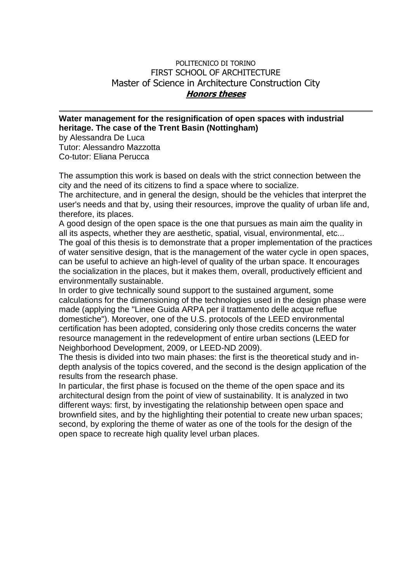## POLITECNICO DI TORINO FIRST SCHOOL OF ARCHITECTURE Master of Science in Architecture Construction City **Honors theses**

## **Water management for the resignification of open spaces with industrial heritage. The case of the Trent Basin (Nottingham)**

by Alessandra De Luca Tutor: Alessandro Mazzotta Co-tutor: Eliana Perucca

The assumption this work is based on deals with the strict connection between the city and the need of its citizens to find a space where to socialize.

The architecture, and in general the design, should be the vehicles that interpret the user's needs and that by, using their resources, improve the quality of urban life and, therefore, its places.

A good design of the open space is the one that pursues as main aim the quality in all its aspects, whether they are aesthetic, spatial, visual, environmental, etc... The goal of this thesis is to demonstrate that a proper implementation of the practices of water sensitive design, that is the management of the water cycle in open spaces, can be useful to achieve an high-level of quality of the urban space. It encourages the socialization in the places, but it makes them, overall, productively efficient and environmentally sustainable.

In order to give technically sound support to the sustained argument, some calculations for the dimensioning of the technologies used in the design phase were made (applying the "Linee Guida ARPA per il trattamento delle acque reflue domestiche"). Moreover, one of the U.S. protocols of the LEED environmental certification has been adopted, considering only those credits concerns the water resource management in the redevelopment of entire urban sections (LEED for Neighborhood Development, 2009, or LEED-ND 2009).

The thesis is divided into two main phases: the first is the theoretical study and indepth analysis of the topics covered, and the second is the design application of the results from the research phase.

In particular, the first phase is focused on the theme of the open space and its architectural design from the point of view of sustainability. It is analyzed in two different ways: first, by investigating the relationship between open space and brownfield sites, and by the highlighting their potential to create new urban spaces; second, by exploring the theme of water as one of the tools for the design of the open space to recreate high quality level urban places.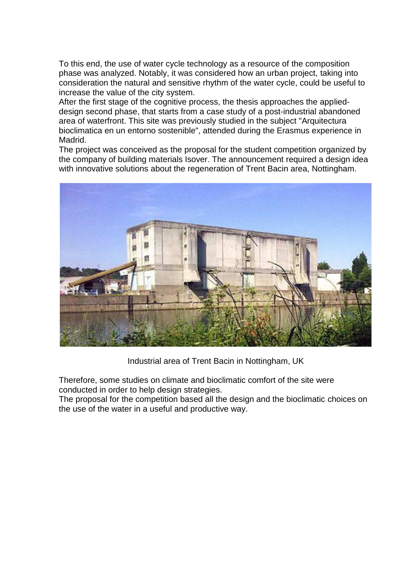To this end, the use of water cycle technology as a resource of the composition phase was analyzed. Notably, it was considered how an urban project, taking into consideration the natural and sensitive rhythm of the water cycle, could be useful to increase the value of the city system.

After the first stage of the cognitive process, the thesis approaches the applieddesign second phase, that starts from a case study of a post-industrial abandoned area of waterfront. This site was previously studied in the subject "Arquitectura bioclimatica en un entorno sostenible", attended during the Erasmus experience in Madrid.

The project was conceived as the proposal for the student competition organized by the company of building materials Isover. The announcement required a design idea with innovative solutions about the regeneration of Trent Bacin area, Nottingham.



Industrial area of Trent Bacin in Nottingham, UK

Therefore, some studies on climate and bioclimatic comfort of the site were conducted in order to help design strategies.

The proposal for the competition based all the design and the bioclimatic choices on the use of the water in a useful and productive way.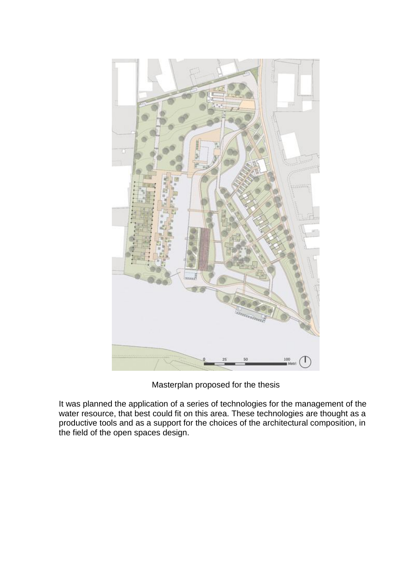

Masterplan proposed for the thesis

It was planned the application of a series of technologies for the management of the water resource, that best could fit on this area. These technologies are thought as a productive tools and as a support for the choices of the architectural composition, in the field of the open spaces design.